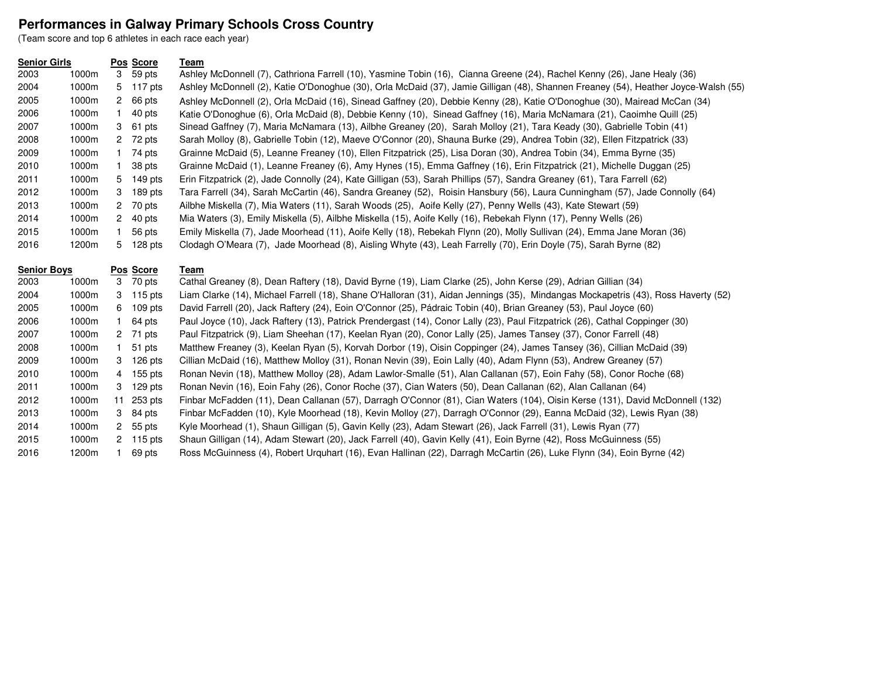## **Performances in Galway Primary Schools Cross Country**

(Team score and top 6 athletes in each race each year)

## **Senior Girls Pos Score Team** 1000m 3 59 pts Ashley McDonnell (7), Cathriona Farrell (10), Yasmine Tobin (16), Cianna Greene (24), Rachel Kenny (26), Jane Healy (36) 1000m 5 117 pts Ashley McDonnell (2), Katie O'Donoghue (30), Orla McDaid (37), Jamie Gilligan (48), Shannen Freaney (54), Heather Joyce-Walsh (55) 1000m 2 66 pts Ashley McDonnell (2), Orla McDaid (16), Sinead Gaffney (20), Debbie Kenny (28), Katie O'Donoghue (30), Mairead McCan (34) 1000m 1 40 pts Katie O'Donoghue (6), Orla McDaid (8), Debbie Kenny (10), Sinead Gaffney (16), Maria McNamara (21), Caoimhe Quill (25) 1000m 3 61 pts Sinead Gaffney (7), Maria McNamara (13), Ailbhe Greaney (20), Sarah Molloy (21), Tara Keady (30), Gabrielle Tobin (41) 1000m <sup>2</sup> 72 pts Sarah Molloy (8), Gabrielle Tobin (12), Maeve O'Connor (20), Shauna Burke (29), Andrea Tobin (32), Ellen Fitzpatrick (33) 1000m <sup>1</sup> 74 pts Grainne McDaid (5), Leanne Freaney (10), Ellen Fitzpatrick (25), Lisa Doran (30), Andrea Tobin (34), Emma Byrne (35) 1000m <sup>1</sup> 38 pts Grainne McDaid (1), Leanne Freaney (6), Amy Hynes (15), Emma Gaffney (16), Erin Fitzpatrick (21), Michelle Duggan (25) 1000m 5 149 pts Erin Fitzpatrick (2), Jade Connolly (24), Kate Gilligan (53), Sarah Phillips (57), Sandra Greaney (61), Tara Farrell (62) 1000m 3 189 pts Tara Farrell (34), Sarah McCartin (46), Sandra Greaney (52), Roisin Hansbury (56), Laura Cunningham (57), Jade Connolly (64) 1000m <sup>2</sup> 70 pts Ailbhe Miskella (7), Mia Waters (11), Sarah Woods (25), Aoife Kelly (27), Penny Wells (43), Kate Stewart (59) 1000m 2 40 pts Mia Waters (3), Emily Miskella (5), Ailbhe Miskella (15), Aoife Kelly (16), Rebekah Flynn (17), Penny Wells (26) 1000m <sup>1</sup> 56 pts Emily Miskella (7), Jade Moorhead (11), Aoife Kelly (18), Rebekah Flynn (20), Molly Sullivan (24), Emma Jane Moran (36)1200m 5 128 pts Clodagh O'Meara (7), Jade Moorhead (8), Aisling Whyte (43), Leah Farrelly (70), Erin Doyle (75), Sarah Byrne (82)

| <b>Senior Boys</b> |       | Pos Score |            | Team                                                                                                                              |  |  |
|--------------------|-------|-----------|------------|-----------------------------------------------------------------------------------------------------------------------------------|--|--|
| 2003               | 1000m | 3         | 70 pts     | Cathal Greaney (8), Dean Raftery (18), David Byrne (19), Liam Clarke (25), John Kerse (29), Adrian Gillian (34)                   |  |  |
| 2004               | 1000m |           | 3 115 pts  | Liam Clarke (14), Michael Farrell (18), Shane O'Halloran (31), Aidan Jennings (35), Mindangas Mockapetris (43), Ross Haverty (52) |  |  |
| 2005               | 1000m | 6.        | $109$ pts  | David Farrell (20), Jack Raftery (24), Eoin O'Connor (25), Pádraic Tobin (40), Brian Greaney (53), Paul Joyce (60)                |  |  |
| 2006               | 1000m |           | 64 pts     | Paul Joyce (10), Jack Raftery (13), Patrick Prendergast (14), Conor Lally (23), Paul Fitzpatrick (26), Cathal Coppinger (30)      |  |  |
| 2007               | 1000m |           | 2 71 pts   | Paul Fitzpatrick (9), Liam Sheehan (17), Keelan Ryan (20), Conor Lally (25), James Tansey (37), Conor Farrell (48)                |  |  |
| 2008               | 1000m |           | 51 pts     | Matthew Freaney (3), Keelan Ryan (5), Korvah Dorbor (19), Oisin Coppinger (24), James Tansey (36), Cillian McDaid (39)            |  |  |
| 2009               | 1000m | 3         | $126$ pts  | Cillian McDaid (16), Matthew Molloy (31), Ronan Nevin (39), Eoin Lally (40), Adam Flynn (53), Andrew Greaney (57)                 |  |  |
| 2010               | 1000m | 4         | 155 pts    | Ronan Nevin (18), Matthew Molloy (28), Adam Lawlor-Smalle (51), Alan Callanan (57), Eoin Fahy (58), Conor Roche (68)              |  |  |
| 2011               | 1000m | 3         | $129$ pts  | Ronan Nevin (16), Eoin Fahy (26), Conor Roche (37), Cian Waters (50), Dean Callanan (62), Alan Callanan (64)                      |  |  |
| 2012               | 1000m |           | 11 253 pts | Finbar McFadden (11), Dean Callanan (57), Darragh O'Connor (81), Cian Waters (104), Oisin Kerse (131), David McDonnell (132)      |  |  |
| 2013               | 1000m |           | 3 84 pts   | Finbar McFadden (10), Kyle Moorhead (18), Kevin Molloy (27), Darragh O'Connor (29), Eanna McDaid (32), Lewis Ryan (38)            |  |  |
| 2014               | 1000m |           | 2 55 pts   | Kyle Moorhead (1), Shaun Gilligan (5), Gavin Kelly (23), Adam Stewart (26), Jack Farrell (31), Lewis Ryan (77)                    |  |  |
| 2015               | 1000m |           | 2 115 pts  | Shaun Gilligan (14), Adam Stewart (20), Jack Farrell (40), Gavin Kelly (41), Eoin Byrne (42), Ross McGuinness (55)                |  |  |
| 2016               | 1200m |           | 69 pts     | Ross McGuinness (4), Robert Urguhart (16), Evan Hallinan (22), Darragh McCartin (26), Luke Flynn (34), Eoin Byrne (42)            |  |  |